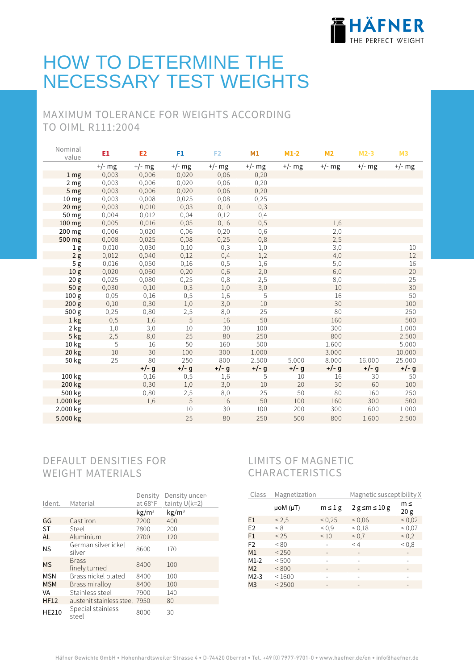

# HOW TO DETERMINE THE NECESSARY TEST WEIGHTS

## MAXIMUM TOLERANCE FOR WEIGHTS ACCORDING TO OIML R111:2004

| Nominal<br>value | E1       | E <sub>2</sub> | F1       | F <sub>2</sub> | M1       | $M1-2$   | M <sub>2</sub> | $M2-3$   | M <sub>3</sub> |
|------------------|----------|----------------|----------|----------------|----------|----------|----------------|----------|----------------|
|                  | $+/-$ mg | $+/-$ mg       | $+/-$ mg | $+/-$ mg       | $+/-$ mg | $+/-$ mg | $+/-$ mg       | $+/-$ mg | $+/-$ mg       |
| 1 <sub>mg</sub>  | 0,003    | 0,006          | 0,020    | 0,06           | 0,20     |          |                |          |                |
| 2 <sub>mg</sub>  | 0,003    | 0,006          | 0,020    | 0,06           | 0,20     |          |                |          |                |
| 5 <sub>mg</sub>  | 0,003    | 0,006          | 0,020    | 0,06           | 0,20     |          |                |          |                |
| 10 <sub>mg</sub> | 0,003    | 0,008          | 0,025    | 0,08           | 0,25     |          |                |          |                |
| 20 <sub>mg</sub> | 0,003    | 0,010          | 0,03     | 0,10           | 0,3      |          |                |          |                |
| 50 mg            | 0,004    | 0,012          | 0,04     | 0,12           | 0,4      |          |                |          |                |
| 100 mg           | 0,005    | 0,016          | 0,05     | 0,16           | 0,5      |          | 1,6            |          |                |
| 200 mg           | 0,006    | 0,020          | 0,06     | 0,20           | 0,6      |          | 2,0            |          |                |
| 500 mg           | 0,008    | 0,025          | 0,08     | 0,25           | 0,8      |          | 2,5            |          |                |
| 1 <sub>g</sub>   | 0,010    | 0,030          | 0,10     | 0,3            | 1,0      |          | 3,0            |          | 10             |
| 2g               | 0,012    | 0,040          | 0,12     | 0,4            | 1,2      |          | 4,0            |          | 12             |
| 5 <sub>g</sub>   | 0,016    | 0,050          | 0,16     | 0,5            | 1,6      |          | 5,0            |          | 16             |
| 10 <sub>g</sub>  | 0,020    | 0,060          | 0,20     | 0,6            | 2,0      |          | 6,0            |          | 20             |
| 20 <sub>g</sub>  | 0,025    | 0,080          | 0,25     | 0,8            | 2,5      |          | 8,0            |          | 25             |
| 50 <sub>g</sub>  | 0,030    | 0,10           | 0,3      | 1,0            | 3,0      |          | 10             |          | 30             |
| 100 <sub>g</sub> | 0,05     | 0,16           | 0, 5     | 1,6            | 5        |          | 16             |          | 50             |
| 200 g            | 0,10     | 0,30           | 1,0      | 3,0            | 10       |          | 30             |          | 100            |
| 500g             | 0,25     | 0,80           | 2,5      | 8,0            | 25       |          | 80             |          | 250            |
| 1 kg             | 0, 5     | 1,6            | 5        | 16             | 50       |          | 160            |          | 500            |
| 2 kg             | 1,0      | 3,0            | 10       | 30             | 100      |          | 300            |          | 1.000          |
| 5 kg             | 2,5      | 8,0            | 25       | 80             | 250      |          | 800            |          | 2.500          |
| 10 kg            | 5        | 16             | 50       | 160            | 500      |          | 1.600          |          | 5.000          |
| 20 kg            | 10       | 30             | 100      | 300            | 1.000    |          | 3.000          |          | 10.000         |
| 50 kg            | 25       | 80             | 250      | 800            | 2.500    | 5.000    | 8.000          | 16.000   | 25.000         |
|                  |          | $+/- g$        | $+/- g$  | $+/- g$        | $+/- g$  | $+/- g$  | $+/- g$        | $+/- g$  | $+/- g$        |
| 100 kg           |          | 0,16           | 0,5      | 1,6            | 5        | 10       | 16             | 30       | 50             |
| 200 kg           |          | 0,30           | 1,0      | 3,0            | 10       | 20       | 30             | 60       | 100            |
| 500 kg           |          | 0,80           | 2,5      | 8,0            | 25       | 50       | 80             | 160      | 250            |
| 1.000 kg         |          | 1,6            | 5        | 16             | 50       | 100      | 160            | 300      | 500            |
| 2.000 kg         |          |                | $10\,$   | 30             | 100      | 200      | 300            | 600      | 1.000          |
| 5.000 kg         |          |                | 25       | 80             | 250      | 500      | 800            | 1.600    | 2.500          |

## DEFAULT DENSITIES FOR WEIGHT MATERIALS

|              |                               | Density                | Density uncer-    |
|--------------|-------------------------------|------------------------|-------------------|
| Ident.       | Material                      | at 68°F                | tainty $U(k=2)$   |
|              |                               | $\text{kg}/\text{m}^3$ | kg/m <sup>3</sup> |
| GG           | Cast iron                     | 7200                   | 400               |
| <b>ST</b>    | Steel                         | 7800                   | 200               |
| <b>AL</b>    | Aluminium                     | 2700                   | 120               |
| <b>NS</b>    | German silver ickel<br>silver | 8600                   | 170               |
| <b>MS</b>    | <b>Brass</b><br>finely turned | 8400                   | 100               |
| MSN          | Brass nickel plated           | 8400                   | 100               |
| <b>MSM</b>   | Brass miralloy                | 8400                   | 100               |
| VA           | Stainless steel               | 7900                   | 140               |
| <b>HF12</b>  | austenit stainless steel 7950 |                        | 80                |
| <b>HE210</b> | Special stainless<br>steel    | 8000                   | 30                |

## LIMITS OF MAGNETIC CHARACTERISTICS

| Class          | Magnetization       |                 | Magnetic susceptibility X |                          |
|----------------|---------------------|-----------------|---------------------------|--------------------------|
|                | $\mu$ oM ( $\mu$ T) | $m \leq 1$ g    | $2 g \le m \le 10 g$      | m≤<br>20 <sub>g</sub>    |
| E1             | < 2.5               | < 0.25          | 0.06                      | 0.02                     |
| E <sub>2</sub> | < 8                 | ${}^{<}0.9$     | ${}^{<}0,18$              | ${}^{<}0.07$             |
| F1             | < 25                | < 10            | ${}^{<}\,0.7$             | ${}_{0.2}$               |
| F <sub>2</sub> | < 80                |                 | $\leq 4$                  | 0.8                      |
| M <sub>1</sub> | < 250               |                 |                           |                          |
| $M1-2$         | < 500               |                 |                           |                          |
| M <sub>2</sub> | < 800               |                 | $\qquad \qquad$           |                          |
| $M2-3$         | < 1600              |                 | -                         |                          |
| M <sub>3</sub> | < 2500              | $\qquad \qquad$ | $\qquad \qquad =$         | $\overline{\phantom{a}}$ |